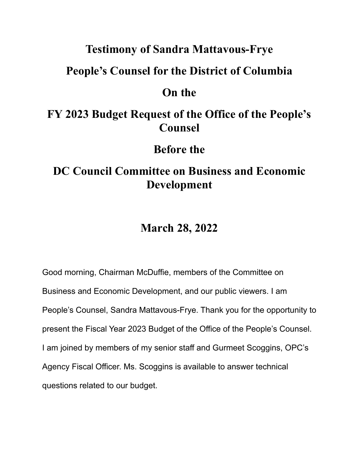## **Testimony of Sandra Mattavous-Frye**

### **People's Counsel for the District of Columbia**

### **On the**

# **FY 2023 Budget Request of the Office of the People's Counsel**

## **Before the**

# **DC Council Committee on Business and Economic Development**

## **March 28, 2022**

Good morning, Chairman McDuffie, members of the Committee on Business and Economic Development, and our public viewers. I am People's Counsel, Sandra Mattavous-Frye. Thank you for the opportunity to present the Fiscal Year 2023 Budget of the Office of the People's Counsel. I am joined by members of my senior staff and Gurmeet Scoggins, OPC's Agency Fiscal Officer. Ms. Scoggins is available to answer technical questions related to our budget.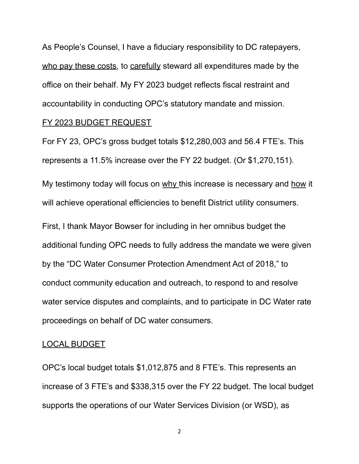As People's Counsel, I have a fiduciary responsibility to DC ratepayers, who pay these costs, to carefully steward all expenditures made by the office on their behalf. My FY 2023 budget reflects fiscal restraint and accountability in conducting OPC's statutory mandate and mission. FY 2023 BUDGET REQUEST

For FY 23, OPC's gross budget totals \$12,280,003 and 56.4 FTE's. This represents a 11.5% increase over the FY 22 budget. (Or \$1,270,151).

My testimony today will focus on why this increase is necessary and how it will achieve operational efficiencies to benefit District utility consumers.

First, I thank Mayor Bowser for including in her omnibus budget the additional funding OPC needs to fully address the mandate we were given by the "DC Water Consumer Protection Amendment Act of 2018," to conduct community education and outreach, to respond to and resolve water service disputes and complaints, and to participate in DC Water rate proceedings on behalf of DC water consumers.

#### LOCAL BUDGET

OPC's local budget totals \$1,012,875 and 8 FTE's. This represents an increase of 3 FTE's and \$338,315 over the FY 22 budget. The local budget supports the operations of our Water Services Division (or WSD), as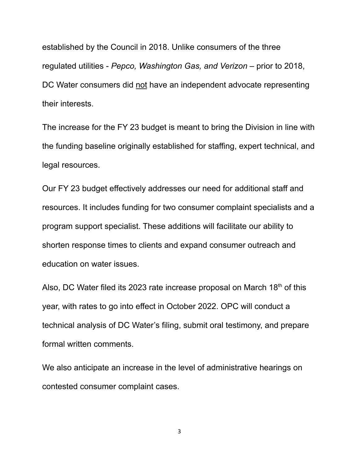established by the Council in 2018. Unlike consumers of the three regulated utilities - *Pepco, Washington Gas, and Verizon* – prior to 2018, DC Water consumers did not have an independent advocate representing their interests.

The increase for the FY 23 budget is meant to bring the Division in line with the funding baseline originally established for staffing, expert technical, and legal resources.

Our FY 23 budget effectively addresses our need for additional staff and resources. It includes funding for two consumer complaint specialists and a program support specialist. These additions will facilitate our ability to shorten response times to clients and expand consumer outreach and education on water issues.

Also, DC Water filed its 2023 rate increase proposal on March 18<sup>th</sup> of this year, with rates to go into effect in October 2022. OPC will conduct a technical analysis of DC Water's filing, submit oral testimony, and prepare formal written comments.

We also anticipate an increase in the level of administrative hearings on contested consumer complaint cases.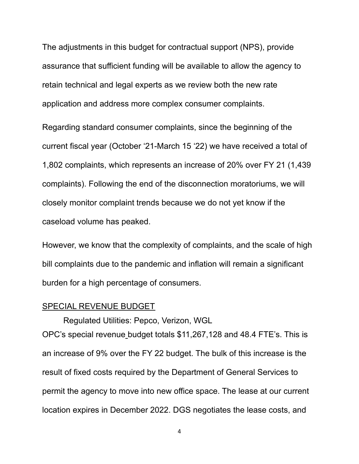The adjustments in this budget for contractual support (NPS), provide assurance that sufficient funding will be available to allow the agency to retain technical and legal experts as we review both the new rate application and address more complex consumer complaints.

Regarding standard consumer complaints, since the beginning of the current fiscal year (October '21-March 15 '22) we have received a total of 1,802 complaints, which represents an increase of 20% over FY 21 (1,439 complaints). Following the end of the disconnection moratoriums, we will closely monitor complaint trends because we do not yet know if the caseload volume has peaked.

However, we know that the complexity of complaints, and the scale of high bill complaints due to the pandemic and inflation will remain a significant burden for a high percentage of consumers.

#### SPECIAL REVENUE BUDGET

Regulated Utilities: Pepco, Verizon, WGL OPC's special revenue budget totals \$11,267,128 and 48.4 FTE's. This is an increase of 9% over the FY 22 budget. The bulk of this increase is the result of fixed costs required by the Department of General Services to permit the agency to move into new office space. The lease at our current location expires in December 2022. DGS negotiates the lease costs, and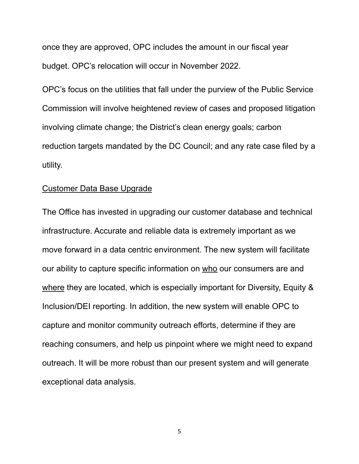once they are approved, OPC includes the amount in our fiscal year budget. OPC's relocation will occur in November 2022.

OPC's focus on the utilities that fall under the purview of the Public Service Commission will involve heightened review of cases and proposed litigation involving climate change; the District's clean energy goals; carbon reduction targets mandated by the DC Council; and any rate case filed by a utility.

#### Customer Data Base Upgrade

The Office has invested in upgrading our customer database and technical infrastructure. Accurate and reliable data is extremely important as we move forward in a data centric environment. The new system will facilitate our ability to capture specific information on who our consumers are and where they are located, which is especially important for Diversity, Equity & Inclusion/DEI reporting. In addition, the new system will enable OPC to capture and monitor community outreach efforts, determine if they are reaching consumers, and help us pinpoint where we might need to expand outreach. It will be more robust than our present system and will generate exceptional data analysis.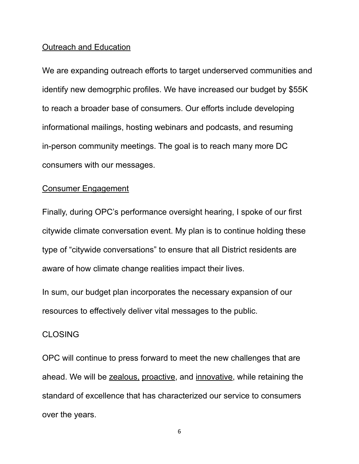#### Outreach and Education

We are expanding outreach efforts to target underserved communities and identify new demogrphic profiles. We have increased our budget by \$55K to reach a broader base of consumers. Our efforts include developing informational mailings, hosting webinars and podcasts, and resuming in-person community meetings. The goal is to reach many more DC consumers with our messages.

### Consumer Engagement

Finally, during OPC's performance oversight hearing, I spoke of our first citywide climate conversation event. My plan is to continue holding these type of "citywide conversations" to ensure that all District residents are aware of how climate change realities impact their lives.

In sum, our budget plan incorporates the necessary expansion of our resources to effectively deliver vital messages to the public.

#### CLOSING

OPC will continue to press forward to meet the new challenges that are ahead. We will be zealous, proactive, and innovative, while retaining the standard of excellence that has characterized our service to consumers over the years.